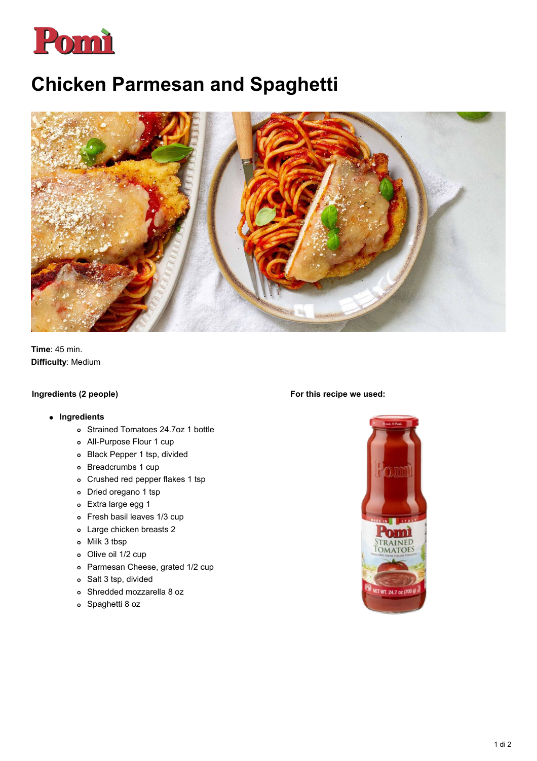

# **Chicken Parmesan and Spaghetti**



**Time**: 45 min. **Difficulty**: Medium

### **Ingredients (2 people)**

#### **Ingredients**

- Strained Tomatoes 24.7oz 1 bottle
- All-Purpose Flour 1 cup
- Black Pepper 1 tsp, divided
- Breadcrumbs 1 cup
- Crushed red pepper flakes 1 tsp
- Dried oregano 1 tsp
- Extra large egg 1
- Fresh basil leaves 1/3 cup
- Large chicken breasts 2
- Milk 3 tbsp
- Olive oil 1/2 cup
- Parmesan Cheese, grated 1/2 cup
- Salt 3 tsp, divided
- Shredded mozzarella 8 oz
- Spaghetti 8 oz

#### **For this recipe we used:**